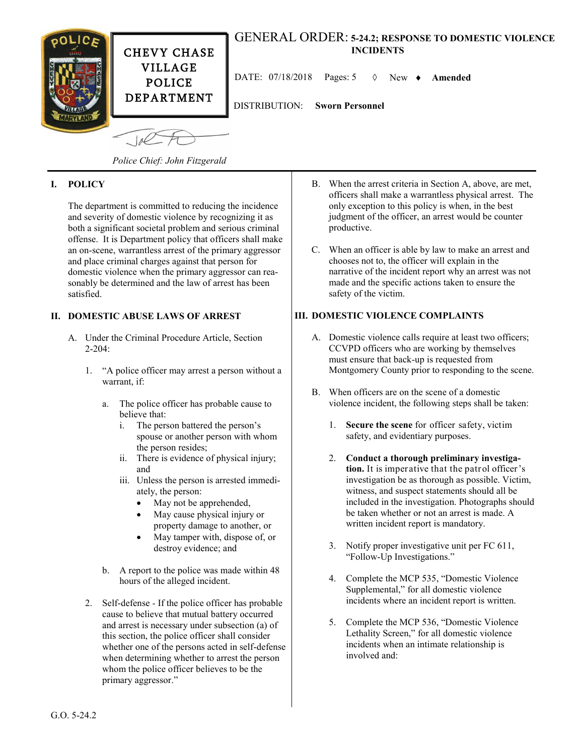

#### **I. POLICY**

The department is committed to reducing the incidence and severity of domestic violence by recognizing it as both a significant societal problem and serious criminal offense. It is Department policy that officers shall make an on-scene, warrantless arrest of the primary aggressor and place criminal charges against that person for domestic violence when the primary aggressor can reasonably be determined and the law of arrest has been satisfied.

#### **II. DOMESTIC ABUSE LAWS OF ARREST**

- A. Under the Criminal Procedure Article, Section  $2 - 204$ 
	- 1. "A police officer may arrest a person without a warrant, if:
		- a. The police officer has probable cause to believe that:
			- i. The person battered the person's spouse or another person with whom the person resides;
			- ii. There is evidence of physical injury; and
			- iii. Unless the person is arrested immediately, the person:
				- May not be apprehended,
				- May cause physical injury or property damage to another, or
				- May tamper with, dispose of, or destroy evidence; and
		- b. A report to the police was made within 48 hours of the alleged incident.
	- 2. Self-defense *-* If the police officer has probable cause to believe that mutual battery occurred and arrest is necessary under subsection (a) of this section, the police officer shall consider whether one of the persons acted in self-defense when determining whether to arrest the person whom the police officer believes to be the primary aggressor."
- B. When the arrest criteria in Section A, above, are met, officers shall make a warrantless physical arrest. The only exception to this policy is when, in the best judgment of the officer, an arrest would be counter productive.
- C. When an officer is able by law to make an arrest and chooses not to, the officer will explain in the narrative of the incident report why an arrest was not made and the specific actions taken to ensure the safety of the victim.

### **III. DOMESTIC VIOLENCE COMPLAINTS**

- A. Domestic violence calls require at least two officers; CCVPD officers who are working by themselves must ensure that back-up is requested from Montgomery County prior to responding to the scene.
- B. When officers are on the scene of a domestic violence incident, the following steps shall be taken:
	- 1. **Secure the scene** for officer safety, victim safety, and evidentiary purposes.
	- 2. **Conduct a thorough preliminary investigation.** It is imperative that the patrol officer's investigation be as thorough as possible. Victim, witness, and suspect statements should all be included in the investigation. Photographs should be taken whether or not an arrest is made. A written incident report is mandatory.
	- 3. Notify proper investigative unit per FC 611, "Follow-Up Investigations."
	- 4. Complete the MCP 535, "Domestic Violence Supplemental," for all domestic violence incidents where an incident report is written.
	- 5. Complete the MCP 536, "Domestic Violence Lethality Screen," for all domestic violence incidents when an intimate relationship is involved and: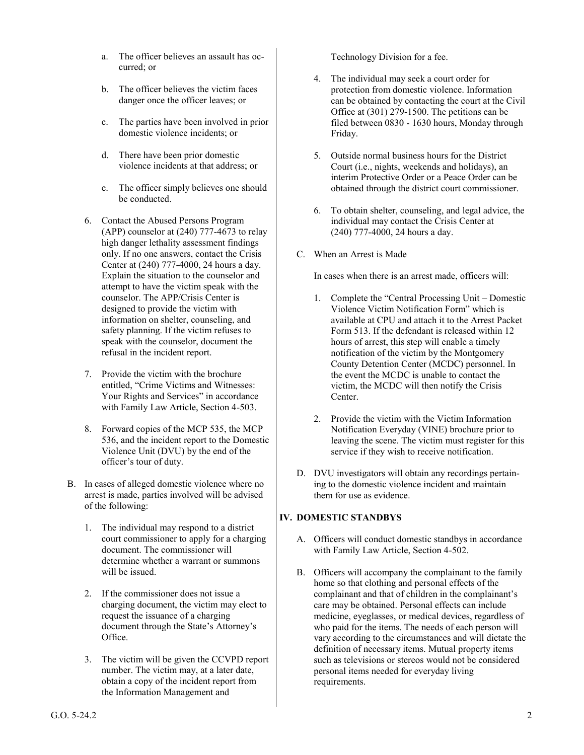- a. The officer believes an assault has occurred; or
- b. The officer believes the victim faces danger once the officer leaves; or
- c. The parties have been involved in prior domestic violence incidents; or
- d. There have been prior domestic violence incidents at that address; or
- e. The officer simply believes one should be conducted.
- 6. Contact the Abused Persons Program (APP) counselor at (240) 777-4673 to relay high danger lethality assessment findings only. If no one answers, contact the Crisis Center at (240) 777-4000, 24 hours a day. Explain the situation to the counselor and attempt to have the victim speak with the counselor. The APP/Crisis Center is designed to provide the victim with information on shelter, counseling, and safety planning. If the victim refuses to speak with the counselor, document the refusal in the incident report.
- 7. Provide the victim with the brochure entitled, "Crime Victims and Witnesses: Your Rights and Services" in accordance with Family Law Article, Section 4-503.
- 8. Forward copies of the MCP 535, the MCP 536, and the incident report to the Domestic Violence Unit (DVU) by the end of the officer's tour of duty.
- B. In cases of alleged domestic violence where no arrest is made, parties involved will be advised of the following:
	- 1. The individual may respond to a district court commissioner to apply for a charging document. The commissioner will determine whether a warrant or summons will be issued.
	- 2. If the commissioner does not issue a charging document, the victim may elect to request the issuance of a charging document through the State's Attorney's Office.
	- 3. The victim will be given the CCVPD report number. The victim may, at a later date, obtain a copy of the incident report from the Information Management and

Technology Division for a fee.

- 4. The individual may seek a court order for protection from domestic violence. Information can be obtained by contacting the court at the Civil Office at (301) 279-1500. The petitions can be filed between 0830 - 1630 hours, Monday through Friday.
- 5. Outside normal business hours for the District Court (i.e., nights, weekends and holidays), an interim Protective Order or a Peace Order can be obtained through the district court commissioner.
- 6. To obtain shelter, counseling, and legal advice, the individual may contact the Crisis Center at (240) 777-4000, 24 hours a day.
- C. When an Arrest is Made

In cases when there is an arrest made, officers will:

- 1. Complete the "Central Processing Unit Domestic Violence Victim Notification Form" which is available at CPU and attach it to the Arrest Packet Form 513. If the defendant is released within 12 hours of arrest, this step will enable a timely notification of the victim by the Montgomery County Detention Center (MCDC) personnel. In the event the MCDC is unable to contact the victim, the MCDC will then notify the Crisis Center.
- 2. Provide the victim with the Victim Information Notification Everyday (VINE) brochure prior to leaving the scene. The victim must register for this service if they wish to receive notification.
- D. DVU investigators will obtain any recordings pertaining to the domestic violence incident and maintain them for use as evidence.

### **IV. DOMESTIC STANDBYS**

- A. Officers will conduct domestic standbys in accordance with Family Law Article, Section 4-502.
- B. Officers will accompany the complainant to the family home so that clothing and personal effects of the complainant and that of children in the complainant's care may be obtained. Personal effects can include medicine, eyeglasses, or medical devices, regardless of who paid for the items. The needs of each person will vary according to the circumstances and will dictate the definition of necessary items. Mutual property items such as televisions or stereos would not be considered personal items needed for everyday living requirements.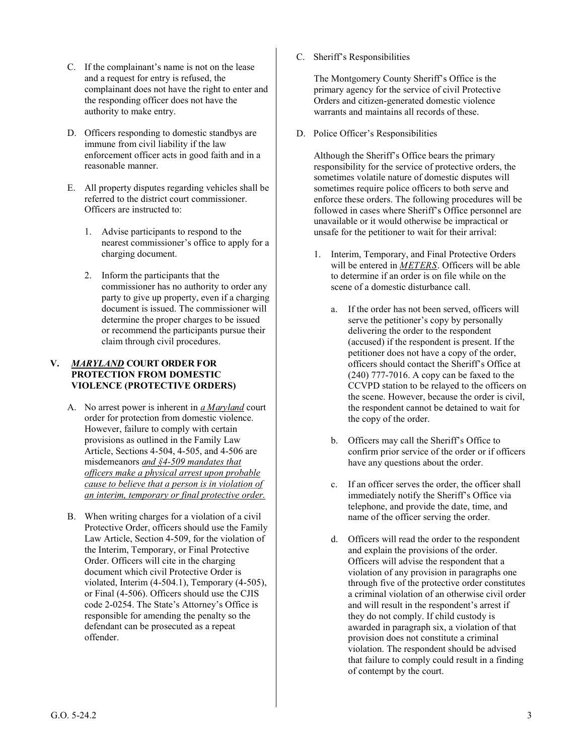- C. If the complainant's name is not on the lease and a request for entry is refused, the complainant does not have the right to enter and the responding officer does not have the authority to make entry.
- D. Officers responding to domestic standbys are immune from civil liability if the law enforcement officer acts in good faith and in a reasonable manner.
- E. All property disputes regarding vehicles shall be referred to the district court commissioner. Officers are instructed to:
	- 1. Advise participants to respond to the nearest commissioner's office to apply for a charging document.
	- 2. Inform the participants that the commissioner has no authority to order any party to give up property, even if a charging document is issued. The commissioner will determine the proper charges to be issued or recommend the participants pursue their claim through civil procedures.

#### **V.** *MARYLAND* **COURT ORDER FOR PROTECTION FROM DOMESTIC VIOLENCE (PROTECTIVE ORDERS)**

- A. No arrest power is inherent in *a Maryland* court order for protection from domestic violence. However, failure to comply with certain provisions as outlined in the Family Law Article, Sections 4-504, 4-505, and 4-506 are misdemeanors *and §4-509 mandates that officers make a physical arrest upon probable cause to believe that a person is in violation of an interim, temporary or final protective order.*
- B. When writing charges for a violation of a civil Protective Order, officers should use the Family Law Article, Section 4-509, for the violation of the Interim, Temporary, or Final Protective Order. Officers will cite in the charging document which civil Protective Order is violated, Interim (4-504.1), Temporary (4-505), or Final (4-506). Officers should use the CJIS code 2-0254. The State's Attorney's Office is responsible for amending the penalty so the defendant can be prosecuted as a repeat offender.

C. Sheriff's Responsibilities

The Montgomery County Sheriff's Office is the primary agency for the service of civil Protective Orders and citizen-generated domestic violence warrants and maintains all records of these.

D. Police Officer's Responsibilities

Although the Sheriff's Office bears the primary responsibility for the service of protective orders, the sometimes volatile nature of domestic disputes will sometimes require police officers to both serve and enforce these orders. The following procedures will be followed in cases where Sheriff's Office personnel are unavailable or it would otherwise be impractical or unsafe for the petitioner to wait for their arrival:

- 1. Interim, Temporary, and Final Protective Orders will be entered in *METERS*. Officers will be able to determine if an order is on file while on the scene of a domestic disturbance call.
	- a. If the order has not been served, officers will serve the petitioner's copy by personally delivering the order to the respondent (accused) if the respondent is present. If the petitioner does not have a copy of the order, officers should contact the Sheriff's Office at (240) 777-7016. A copy can be faxed to the CCVPD station to be relayed to the officers on the scene. However, because the order is civil, the respondent cannot be detained to wait for the copy of the order.
	- b. Officers may call the Sheriff's Office to confirm prior service of the order or if officers have any questions about the order.
	- c. If an officer serves the order, the officer shall immediately notify the Sheriff's Office via telephone, and provide the date, time, and name of the officer serving the order.
	- d. Officers will read the order to the respondent and explain the provisions of the order. Officers will advise the respondent that a violation of any provision in paragraphs one through five of the protective order constitutes a criminal violation of an otherwise civil order and will result in the respondent's arrest if they do not comply. If child custody is awarded in paragraph six, a violation of that provision does not constitute a criminal violation. The respondent should be advised that failure to comply could result in a finding of contempt by the court.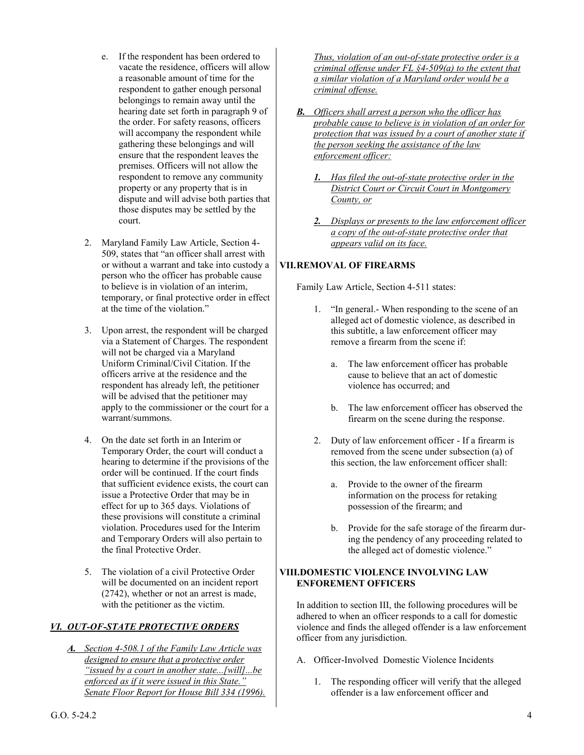- e. If the respondent has been ordered to vacate the residence, officers will allow a reasonable amount of time for the respondent to gather enough personal belongings to remain away until the hearing date set forth in paragraph 9 of the order. For safety reasons, officers will accompany the respondent while gathering these belongings and will ensure that the respondent leaves the premises. Officers will not allow the respondent to remove any community property or any property that is in dispute and will advise both parties that those disputes may be settled by the court.
- 2. Maryland Family Law Article, Section 4- 509, states that "an officer shall arrest with or without a warrant and take into custody a person who the officer has probable cause to believe is in violation of an interim, temporary, or final protective order in effect at the time of the violation."
- 3. Upon arrest, the respondent will be charged via a Statement of Charges. The respondent will not be charged via a Maryland Uniform Criminal/Civil Citation. If the officers arrive at the residence and the respondent has already left, the petitioner will be advised that the petitioner may apply to the commissioner or the court for a warrant/summons.
- 4. On the date set forth in an Interim or Temporary Order, the court will conduct a hearing to determine if the provisions of the order will be continued. If the court finds that sufficient evidence exists, the court can issue a Protective Order that may be in effect for up to 365 days. Violations of these provisions will constitute a criminal violation. Procedures used for the Interim and Temporary Orders will also pertain to the final Protective Order.
- 5. The violation of a civil Protective Order will be documented on an incident report (2742), whether or not an arrest is made, with the petitioner as the victim.

## *VI. OUT-OF-STATE PROTECTIVE ORDERS*

*A. Section 4-508.1 of the Family Law Article was designed to ensure that a protective order "issued by a court in another state...[will]...be enforced as if it were issued in this State." Senate Floor Report for House Bill 334 (1996).*  *Thus, violation of an out-of-state protective order is a criminal offense under FL §4-509(a) to the extent that a similar violation of a Maryland order would be a criminal offense.* 

- *B. Officers shall arrest a person who the officer has probable cause to believe is in violation of an order for protection that was issued by a court of another state if the person seeking the assistance of the law enforcement officer:* 
	- *1. Has filed the out-of-state protective order in the District Court or Circuit Court in Montgomery County, or*
	- *2. Displays or presents to the law enforcement officer a copy of the out-of-state protective order that appears valid on its face.*

# **VII.REMOVAL OF FIREARMS**

Family Law Article, Section 4-511 states:

- 1. "In general.- When responding to the scene of an alleged act of domestic violence, as described in this subtitle, a law enforcement officer may remove a firearm from the scene if:
	- a. The law enforcement officer has probable cause to believe that an act of domestic violence has occurred; and
	- b. The law enforcement officer has observed the firearm on the scene during the response.
- 2. Duty of law enforcement officer If a firearm is removed from the scene under subsection (a) of this section, the law enforcement officer shall:
	- a. Provide to the owner of the firearm information on the process for retaking possession of the firearm; and
	- b. Provide for the safe storage of the firearm during the pendency of any proceeding related to the alleged act of domestic violence."

### **VIII.DOMESTIC VIOLENCE INVOLVING LAW ENFOREMENT OFFICERS**

In addition to section III, the following procedures will be adhered to when an officer responds to a call for domestic violence and finds the alleged offender is a law enforcement officer from any jurisdiction.

- A. Officer-Involved Domestic Violence Incidents
	- 1. The responding officer will verify that the alleged offender is a law enforcement officer and